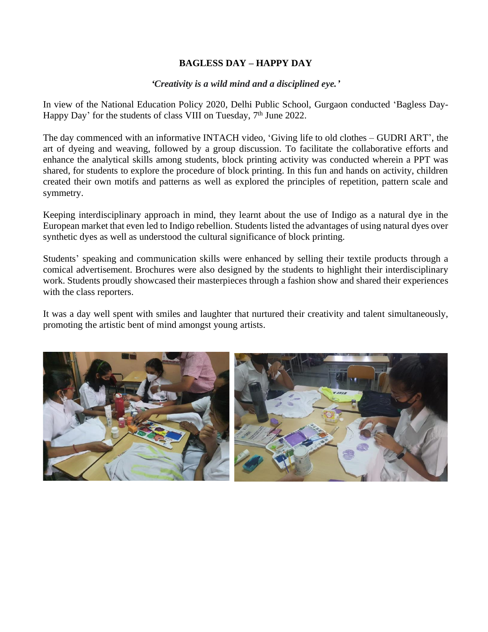## **BAGLESS DAY – HAPPY DAY**

*'Creativity is a wild mind and a disciplined eye.'*

In view of the National Education Policy 2020, Delhi Public School, Gurgaon conducted 'Bagless Day-Happy Day' for the students of class VIII on Tuesday, 7<sup>th</sup> June 2022.

The day commenced with an informative INTACH video, 'Giving life to old clothes – GUDRI ART', the art of dyeing and weaving, followed by a group discussion. To facilitate the collaborative efforts and enhance the analytical skills among students, block printing activity was conducted wherein a PPT was shared, for students to explore the procedure of block printing. In this fun and hands on activity, children created their own motifs and patterns as well as explored the principles of repetition, pattern scale and symmetry.

Keeping interdisciplinary approach in mind, they learnt about the use of Indigo as a natural dye in the European market that even led to Indigo rebellion. Students listed the advantages of using natural dyes over synthetic dyes as well as understood the cultural significance of block printing.

Students' speaking and communication skills were enhanced by selling their textile products through a comical advertisement. Brochures were also designed by the students to highlight their interdisciplinary work. Students proudly showcased their masterpieces through a fashion show and shared their experiences with the class reporters.

It was a day well spent with smiles and laughter that nurtured their creativity and talent simultaneously, promoting the artistic bent of mind amongst young artists.